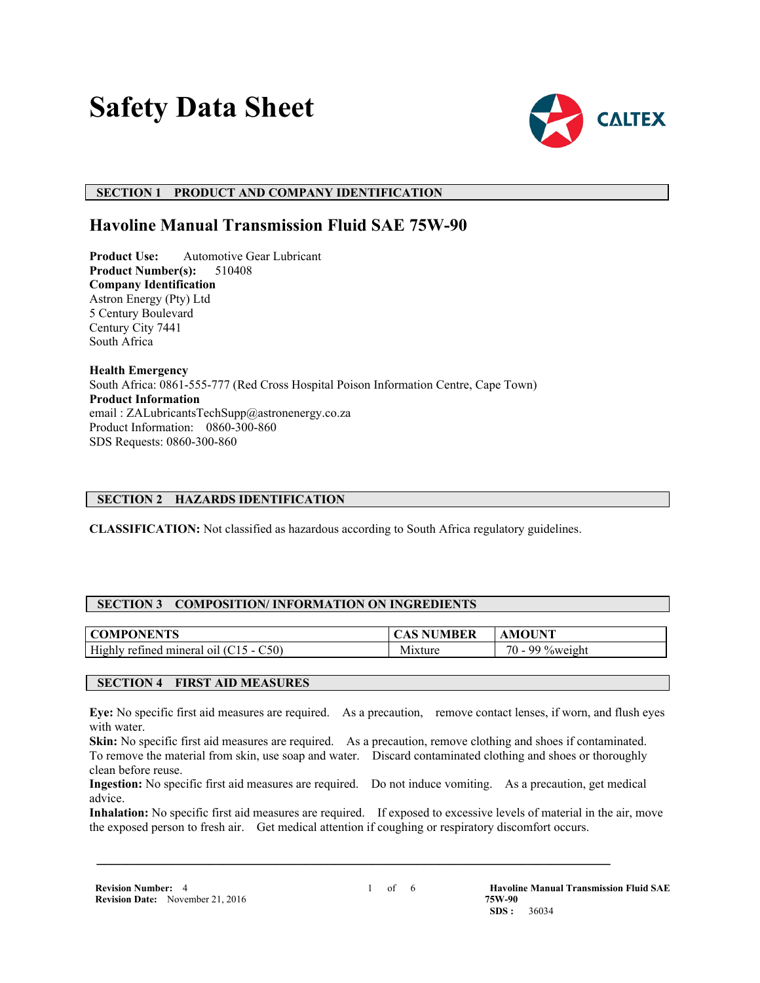# **Safety Data Sheet**



## **SECTION 1 PRODUCT AND COMPANY IDENTIFICATION**

## **Havoline Manual Transmission Fluid SAE 75W-90**

**Product Use:** Automotive Gear Lubricant<br>**Product Number(s):** 510408 **Product Number(s): Company Identification** Astron Energy (Pty) Ltd 5 Century Boulevard Century City 7441 South Africa

**Health Emergency** South Africa: 0861-555-777 (Red Cross Hospital Poison Information Centre, Cape Town) **Product Information** email : ZALubricantsTechSupp@astronenergy.co.za Product Information: 0860-300-860 SDS Requests: 0860-300-860

## **SECTION 2 HAZARDS IDENTIFICATION**

**CLASSIFICATION:** Not classified as hazardous according to South Africa regulatory guidelines.

## **SECTION 3 COMPOSITION/ INFORMATION ON INGREDIENTS**

| ONENTS                                                     |                                            | OUNT                                                           |
|------------------------------------------------------------|--------------------------------------------|----------------------------------------------------------------|
| NI PI                                                      | 5 E K                                      | M1                                                             |
| High<br>C50)<br>retined<br>mineral<br>$\Omega$<br>.<br>- - | . .<br><b><i><u>Property</u></i></b><br>NЛ | $70 -$<br>$\sim$<br>$\alpha$ ov<br>,,,,, <i>,</i> ,,,<br>⁄∩\\/ |

## **SECTION 4 FIRST AID MEASURES**

**Eye:** No specific first aid measures are required. As a precaution, remove contact lenses, if worn, and flush eyes with water.

**Skin:** No specific first aid measures are required. As a precaution, remove clothing and shoes if contaminated. To remove the material from skin, use soap and water. Discard contaminated clothing and shoes or thoroughly clean before reuse.

**Ingestion:** No specific first aid measures are required. Do not induce vomiting. As a precaution, get medical advice.

 **\_\_\_\_\_\_\_\_\_\_\_\_\_\_\_\_\_\_\_\_\_\_\_\_\_\_\_\_\_\_\_\_\_\_\_\_\_\_\_\_\_\_\_\_\_\_\_\_\_\_\_\_\_\_\_\_\_\_\_\_\_\_\_\_\_\_\_\_\_**

**Inhalation:** No specific first aid measures are required. If exposed to excessive levels of material in the air, move the exposed person to fresh air. Get medical attention if coughing or respiratory discomfort occurs.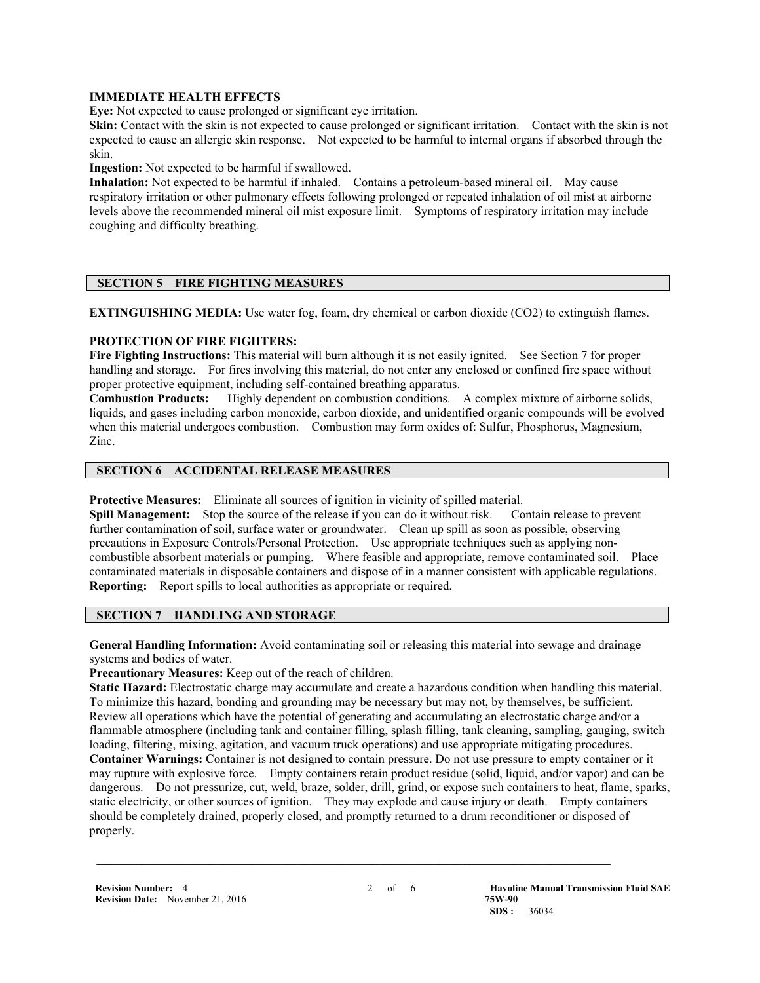#### **IMMEDIATE HEALTH EFFECTS**

**Eve:** Not expected to cause prolonged or significant eye irritation.

**Skin:** Contact with the skin is not expected to cause prolonged or significant irritation. Contact with the skin is not expected to cause an allergic skin response. Not expected to be harmful to internal organs if absorbed through the skin.

**Ingestion:** Not expected to be harmful if swallowed.

**Inhalation:** Not expected to be harmful if inhaled. Contains a petroleum-based mineral oil. May cause respiratory irritation or other pulmonary effects following prolonged or repeated inhalation of oil mist at airborne levels above the recommended mineral oil mist exposure limit. Symptoms of respiratory irritation may include coughing and difficulty breathing.

## **SECTION 5 FIRE FIGHTING MEASURES**

**EXTINGUISHING MEDIA:** Use water fog, foam, dry chemical or carbon dioxide (CO2) to extinguish flames.

#### **PROTECTION OF FIRE FIGHTERS:**

**Fire Fighting Instructions:** This material will burn although it is not easily ignited. See Section 7 for proper handling and storage. For fires involving this material, do not enter any enclosed or confined fire space without proper protective equipment, including self-contained breathing apparatus.

**Combustion Products:** Highly dependent on combustion conditions. A complex mixture of airborne solids, liquids, and gases including carbon monoxide, carbon dioxide, and unidentified organic compounds will be evolved when this material undergoes combustion. Combustion may form oxides of: Sulfur, Phosphorus, Magnesium, Zinc.

## **SECTION 6 ACCIDENTAL RELEASE MEASURES**

**Protective Measures:** Eliminate all sources of ignition in vicinity of spilled material.

**Spill Management:** Stop the source of the release if you can do it without risk. Contain release to prevent further contamination of soil, surface water or groundwater. Clean up spill as soon as possible, observing precautions in Exposure Controls/Personal Protection. Use appropriate techniques such as applying noncombustible absorbent materials or pumping. Where feasible and appropriate, remove contaminated soil. Place contaminated materials in disposable containers and dispose of in a manner consistent with applicable regulations. **Reporting:** Report spills to local authorities as appropriate or required.

## **SECTION 7 HANDLING AND STORAGE**

**General Handling Information:** Avoid contaminating soil or releasing this material into sewage and drainage systems and bodies of water.

**Precautionary Measures:** Keep out of the reach of children.

**Static Hazard:** Electrostatic charge may accumulate and create a hazardous condition when handling this material. To minimize this hazard, bonding and grounding may be necessary but may not, by themselves, be sufficient. Review all operations which have the potential of generating and accumulating an electrostatic charge and/or a flammable atmosphere (including tank and container filling, splash filling, tank cleaning, sampling, gauging, switch loading, filtering, mixing, agitation, and vacuum truck operations) and use appropriate mitigating procedures. **Container Warnings:** Container is not designed to contain pressure. Do not use pressure to empty container or it may rupture with explosive force. Empty containers retain product residue (solid, liquid, and/or vapor) and can be dangerous. Do not pressurize, cut, weld, braze, solder, drill, grind, or expose such containers to heat, flame, sparks, static electricity, or other sources of ignition. They may explode and cause injury or death. Empty containers should be completely drained, properly closed, and promptly returned to a drum reconditioner or disposed of properly.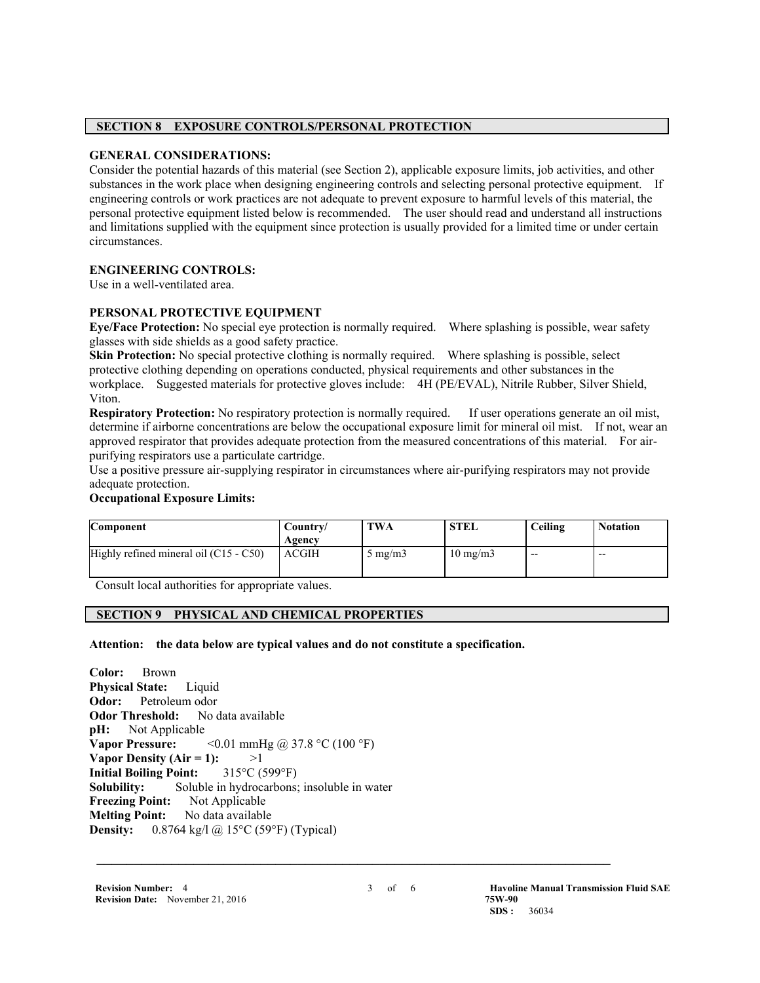#### **SECTION 8 EXPOSURE CONTROLS/PERSONAL PROTECTION**

## **GENERAL CONSIDERATIONS:**

Consider the potential hazards of this material (see Section 2), applicable exposure limits, job activities, and other substances in the work place when designing engineering controls and selecting personal protective equipment. If engineering controls or work practices are not adequate to prevent exposure to harmful levels of this material, the personal protective equipment listed below is recommended. The user should read and understand all instructions and limitations supplied with the equipment since protection is usually provided for a limited time or under certain circumstances.

## **ENGINEERING CONTROLS:**

Use in a well-ventilated area.

## **PERSONAL PROTECTIVE EQUIPMENT**

**Eye/Face Protection:** No special eye protection is normally required. Where splashing is possible, wear safety glasses with side shields as a good safety practice.

**Skin Protection:** No special protective clothing is normally required. Where splashing is possible, select protective clothing depending on operations conducted, physical requirements and other substances in the workplace. Suggested materials for protective gloves include: 4H (PE/EVAL), Nitrile Rubber, Silver Shield, Viton.

**Respiratory Protection:** No respiratory protection is normally required. If user operations generate an oil mist, determine if airborne concentrations are below the occupational exposure limit for mineral oil mist. If not, wear an approved respirator that provides adequate protection from the measured concentrations of this material. For airpurifying respirators use a particulate cartridge.

Use a positive pressure air-supplying respirator in circumstances where air-purifying respirators may not provide adequate protection.

## **Occupational Exposure Limits:**

| Component                                | Country/<br>Agency | TWA              | <b>STEL</b>       | Ceiling | <b>Notation</b> |
|------------------------------------------|--------------------|------------------|-------------------|---------|-----------------|
| Highly refined mineral oil $(C15 - C50)$ | <b>ACGIH</b>       | $5 \text{ mg/m}$ | $10 \text{ mg/m}$ | $- -$   | $- -$           |

Consult local authorities for appropriate values.

## **SECTION 9 PHYSICAL AND CHEMICAL PROPERTIES**

**Attention: the data below are typical values and do not constitute a specification.**

**Color:** Brown **Physical State:** Liquid **Odor:** Petroleum odor **Odor Threshold:** No data available **pH:** Not Applicable **Vapor Pressure:** <0.01 mmHg @ 37.8 °C (100 °F) **Vapor Density (Air = 1):**  $>1$ <br>**Initial Boiling Point:**  $315^{\circ}C(599^{\circ}F)$ **Initial Boiling Point: Solubility:** Soluble in hydrocarbons; insoluble in water **Freezing Point:** Not Applicable **Melting Point:** No data available **Density:** 0.8764 kg/l @ 15°C (59°F) (Typical)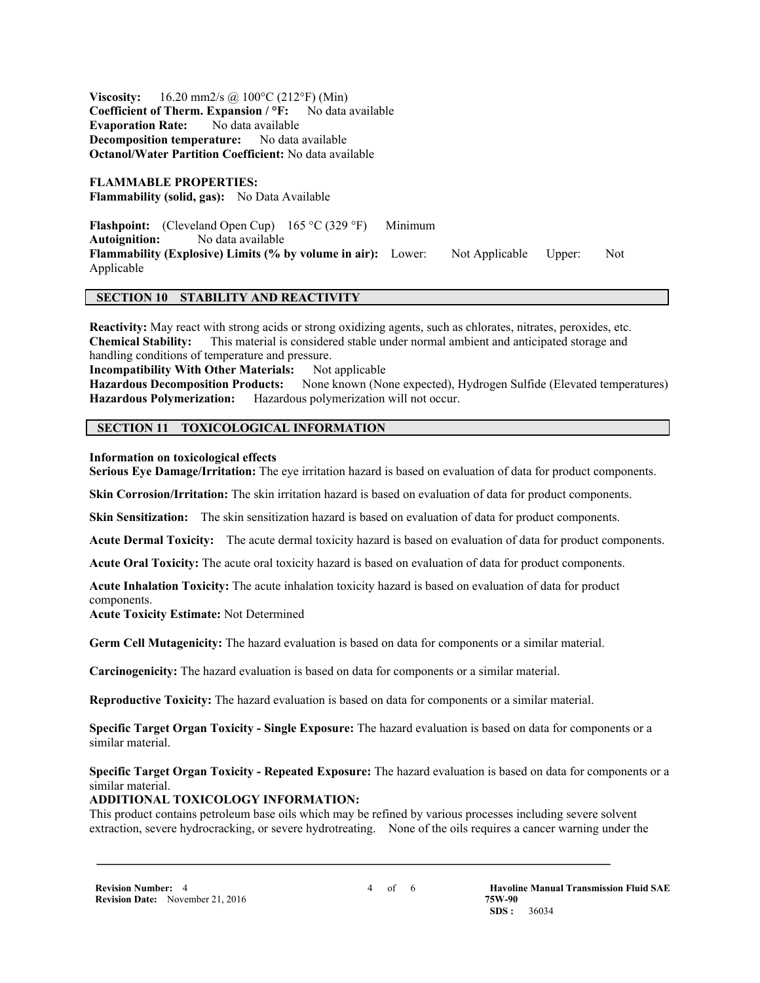**Viscosity:** 16.20 mm2/s @ 100°C (212°F) (Min) **Coefficient of Therm. Expansion / °F:** No data available **Evaporation Rate:** No data available **Decomposition temperature:** No data available **Octanol/Water Partition Coefficient:** No data available

**FLAMMABLE PROPERTIES: Flammability (solid, gas):** No Data Available

**Flashpoint:** (Cleveland Open Cup) 165 °C (329 °F) Minimum<br>Autoignition: No data available **Autoignition:** No data available **Flammability (Explosive) Limits (% by volume in air):** Lower: Not Applicable Upper: Not Applicable

## **SECTION 10 STABILITY AND REACTIVITY**

**Reactivity:** May react with strong acids or strong oxidizing agents, such as chlorates, nitrates, peroxides, etc. **Chemical Stability:** This material is considered stable under normal ambient and anticipated storage and handling conditions of temperature and pressure.

**Incompatibility With Other Materials:** Not applicable **Hazardous Decomposition Products:** None known (None expected), Hydrogen Sulfide (Elevated temperatures) **Hazardous Polymerization:** Hazardous polymerization will not occur.

## **SECTION 11 TOXICOLOGICAL INFORMATION**

#### **Information on toxicological effects**

**Serious Eye Damage/Irritation:** The eye irritation hazard is based on evaluation of data for product components.

**Skin Corrosion/Irritation:** The skin irritation hazard is based on evaluation of data for product components.

**Skin Sensitization:** The skin sensitization hazard is based on evaluation of data for product components.

**Acute Dermal Toxicity:** The acute dermal toxicity hazard is based on evaluation of data for product components.

**Acute Oral Toxicity:** The acute oral toxicity hazard is based on evaluation of data for product components.

**Acute Inhalation Toxicity:** The acute inhalation toxicity hazard is based on evaluation of data for product components.

**Acute Toxicity Estimate:** Not Determined

**Germ Cell Mutagenicity:** The hazard evaluation is based on data for components or a similar material.

**Carcinogenicity:** The hazard evaluation is based on data for components or a similar material.

**Reproductive Toxicity:** The hazard evaluation is based on data for components or a similar material.

**Specific Target Organ Toxicity - Single Exposure:** The hazard evaluation is based on data for components or a similar material.

#### **Specific Target Organ Toxicity - Repeated Exposure:** The hazard evaluation is based on data for components or a similar material.

#### **ADDITIONAL TOXICOLOGY INFORMATION:**

This product contains petroleum base oils which may be refined by various processes including severe solvent extraction, severe hydrocracking, or severe hydrotreating. None of the oils requires a cancer warning under the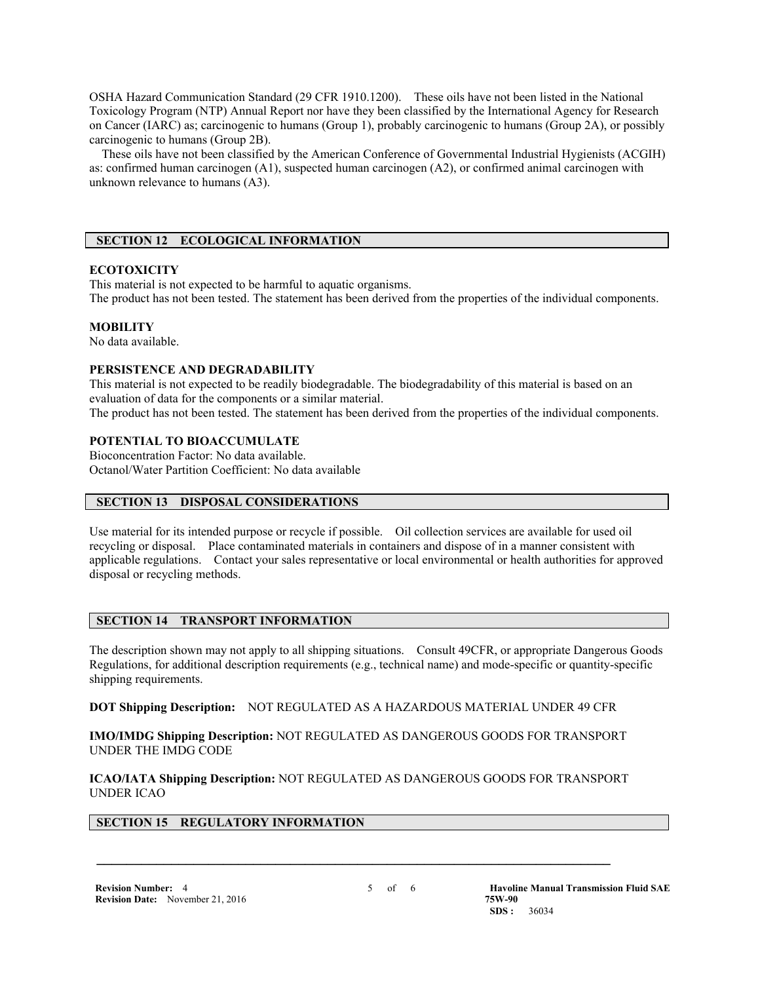OSHA Hazard Communication Standard (29 CFR 1910.1200). These oils have not been listed in the National Toxicology Program (NTP) Annual Report nor have they been classified by the International Agency for Research on Cancer (IARC) as; carcinogenic to humans (Group 1), probably carcinogenic to humans (Group 2A), or possibly carcinogenic to humans (Group 2B).

 These oils have not been classified by the American Conference of Governmental Industrial Hygienists (ACGIH) as: confirmed human carcinogen (A1), suspected human carcinogen (A2), or confirmed animal carcinogen with unknown relevance to humans (A3).

## **SECTION 12 ECOLOGICAL INFORMATION**

#### **ECOTOXICITY**

This material is not expected to be harmful to aquatic organisms. The product has not been tested. The statement has been derived from the properties of the individual components.

#### **MOBILITY**

No data available.

#### **PERSISTENCE AND DEGRADABILITY**

This material is not expected to be readily biodegradable. The biodegradability of this material is based on an evaluation of data for the components or a similar material.

The product has not been tested. The statement has been derived from the properties of the individual components.

#### **POTENTIAL TO BIOACCUMULATE**

Bioconcentration Factor: No data available. Octanol/Water Partition Coefficient: No data available

#### **SECTION 13 DISPOSAL CONSIDERATIONS**

Use material for its intended purpose or recycle if possible. Oil collection services are available for used oil recycling or disposal. Place contaminated materials in containers and dispose of in a manner consistent with applicable regulations. Contact your sales representative or local environmental or health authorities for approved disposal or recycling methods.

## **SECTION 14 TRANSPORT INFORMATION**

The description shown may not apply to all shipping situations. Consult 49CFR, or appropriate Dangerous Goods Regulations, for additional description requirements (e.g., technical name) and mode-specific or quantity-specific shipping requirements.

**DOT Shipping Description:** NOT REGULATED AS A HAZARDOUS MATERIAL UNDER 49 CFR

**IMO/IMDG Shipping Description:** NOT REGULATED AS DANGEROUS GOODS FOR TRANSPORT UNDER THE IMDG CODE

**ICAO/IATA Shipping Description:** NOT REGULATED AS DANGEROUS GOODS FOR TRANSPORT UNDER ICAO

 **\_\_\_\_\_\_\_\_\_\_\_\_\_\_\_\_\_\_\_\_\_\_\_\_\_\_\_\_\_\_\_\_\_\_\_\_\_\_\_\_\_\_\_\_\_\_\_\_\_\_\_\_\_\_\_\_\_\_\_\_\_\_\_\_\_\_\_\_\_**

#### **SECTION 15 REGULATORY INFORMATION**